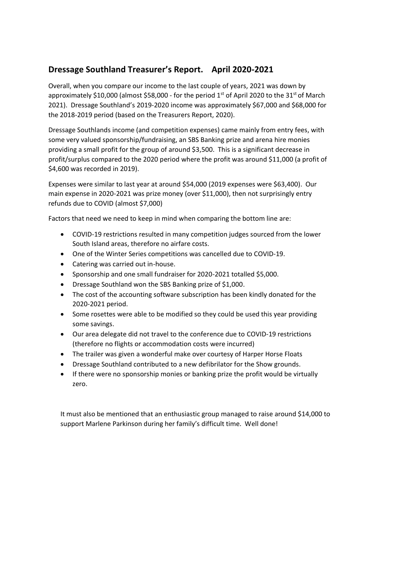## **Dressage Southland Treasurer's Report. April 2020-2021**

Overall, when you compare our income to the last couple of years, 2021 was down by approximately \$10,000 (almost \$58,000 - for the period  $1<sup>st</sup>$  of April 2020 to the 31<sup>st</sup> of March 2021). Dressage Southland's 2019-2020 income was approximately \$67,000 and \$68,000 for the 2018-2019 period (based on the Treasurers Report, 2020).

Dressage Southlands income (and competition expenses) came mainly from entry fees, with some very valued sponsorship/fundraising, an SBS Banking prize and arena hire monies providing a small profit for the group of around \$3,500. This is a significant decrease in profit/surplus compared to the 2020 period where the profit was around \$11,000 (a profit of \$4,600 was recorded in 2019).

Expenses were similar to last year at around \$54,000 (2019 expenses were \$63,400). Our main expense in 2020-2021 was prize money (over \$11,000), then not surprisingly entry refunds due to COVID (almost \$7,000)

Factors that need we need to keep in mind when comparing the bottom line are:

- COVID-19 restrictions resulted in many competition judges sourced from the lower South Island areas, therefore no airfare costs.
- One of the Winter Series competitions was cancelled due to COVID-19.
- Catering was carried out in-house.
- Sponsorship and one small fundraiser for 2020-2021 totalled \$5,000.
- Dressage Southland won the SBS Banking prize of \$1,000.
- The cost of the accounting software subscription has been kindly donated for the 2020-2021 period.
- Some rosettes were able to be modified so they could be used this year providing some savings.
- Our area delegate did not travel to the conference due to COVID-19 restrictions (therefore no flights or accommodation costs were incurred)
- The trailer was given a wonderful make over courtesy of Harper Horse Floats
- Dressage Southland contributed to a new defibrilator for the Show grounds.
- If there were no sponsorship monies or banking prize the profit would be virtually zero.

It must also be mentioned that an enthusiastic group managed to raise around \$14,000 to support Marlene Parkinson during her family's difficult time. Well done!